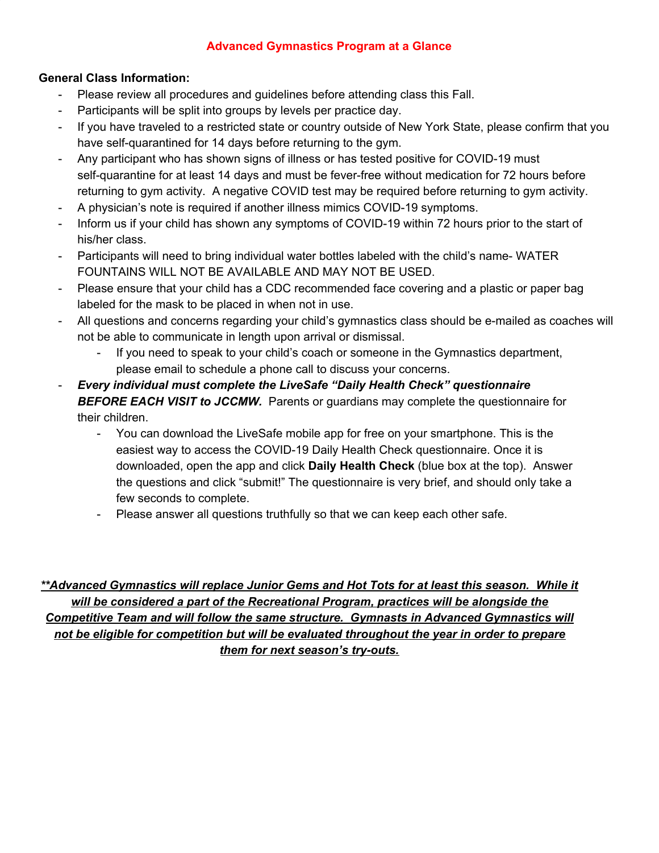#### **Advanced Gymnastics Program at a Glance**

#### **General Class Information:**

- Please review all procedures and guidelines before attending class this Fall.
- Participants will be split into groups by levels per practice day.
- If you have traveled to a restricted state or country outside of New York State, please confirm that you have self-quarantined for 14 days before returning to the gym.
- Any participant who has shown signs of illness or has tested positive for COVID-19 must self-quarantine for at least 14 days and must be fever-free without medication for 72 hours before returning to gym activity. A negative COVID test may be required before returning to gym activity.
- A physician's note is required if another illness mimics COVID-19 symptoms.
- Inform us if your child has shown any symptoms of COVID-19 within 72 hours prior to the start of his/her class.
- Participants will need to bring individual water bottles labeled with the child's name- WATER FOUNTAINS WILL NOT BE AVAILABLE AND MAY NOT BE USED.
- Please ensure that your child has a CDC recommended face covering and a plastic or paper bag labeled for the mask to be placed in when not in use.
- All questions and concerns regarding your child's gymnastics class should be e-mailed as coaches will not be able to communicate in length upon arrival or dismissal.
	- If you need to speak to your child's coach or someone in the Gymnastics department, please email to schedule a phone call to discuss your concerns.
- *Every individual must complete the LiveSafe "Daily Health Check" questionnaire BEFORE EACH VISIT to JCCMW.* Parents or guardians may complete the questionnaire for their children.
	- You can download the LiveSafe mobile app for free on your smartphone. This is the easiest way to access the COVID-19 Daily Health Check questionnaire. Once it is downloaded, open the app and click **Daily Health Check** (blue box at the top). Answer the questions and click "submit!" The questionnaire is very brief, and should only take a few seconds to complete.
	- Please answer all questions truthfully so that we can keep each other safe.

*\*\*Advanced Gymnastics will replace Junior Gems and Hot Tots for at least this season. While it will be considered a part of the Recreational Program, practices will be alongside the Competitive Team and will follow the same structure. Gymnasts in Advanced Gymnastics will not be eligible for competition but will be evaluated throughout the year in order to prepare them for next season's try-outs.*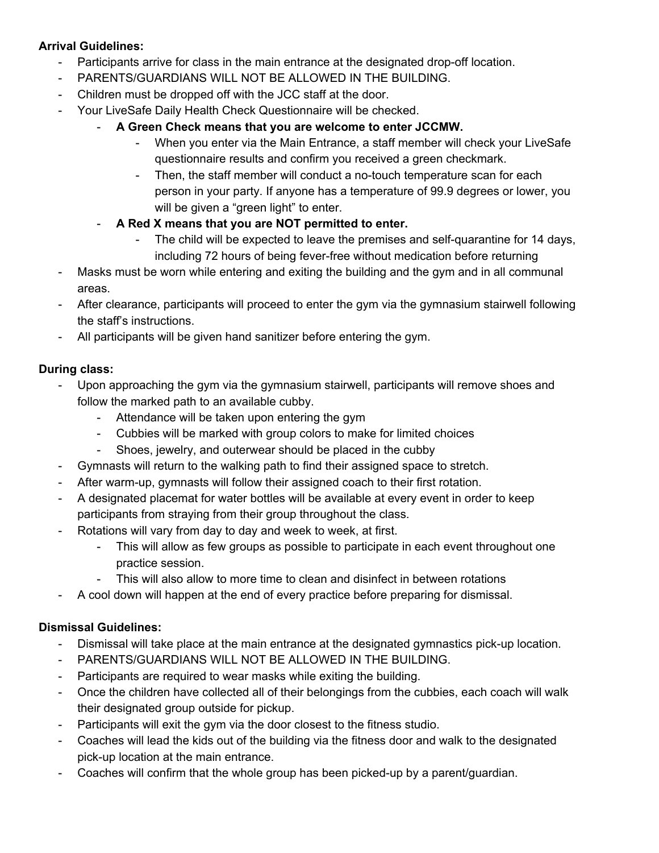#### **Arrival Guidelines:**

- Participants arrive for class in the main entrance at the designated drop-off location.
- PARENTS/GUARDIANS WILL NOT BE ALLOWED IN THE BUILDING.
- Children must be dropped off with the JCC staff at the door.
- Your LiveSafe Daily Health Check Questionnaire will be checked.
	- **A Green Check means that you are welcome to enter JCCMW.**
		- When you enter via the Main Entrance, a staff member will check your LiveSafe questionnaire results and confirm you received a green checkmark.
		- Then, the staff member will conduct a no-touch temperature scan for each person in your party. If anyone has a temperature of 99.9 degrees or lower, you will be given a "green light" to enter.
	- **A Red X means that you are NOT permitted to enter.**
		- The child will be expected to leave the premises and self-quarantine for 14 days, including 72 hours of being fever-free without medication before returning
- Masks must be worn while entering and exiting the building and the gym and in all communal areas.
- After clearance, participants will proceed to enter the gym via the gymnasium stairwell following the staff's instructions.
- All participants will be given hand sanitizer before entering the gym.

## **During class:**

- Upon approaching the gym via the gymnasium stairwell, participants will remove shoes and follow the marked path to an available cubby.
	- Attendance will be taken upon entering the gym
	- Cubbies will be marked with group colors to make for limited choices
	- Shoes, jewelry, and outerwear should be placed in the cubby
- Gymnasts will return to the walking path to find their assigned space to stretch.
- After warm-up, gymnasts will follow their assigned coach to their first rotation.
- A designated placemat for water bottles will be available at every event in order to keep participants from straying from their group throughout the class.
- Rotations will vary from day to day and week to week, at first.
	- This will allow as few groups as possible to participate in each event throughout one practice session.
	- This will also allow to more time to clean and disinfect in between rotations
	- A cool down will happen at the end of every practice before preparing for dismissal.

## **Dismissal Guidelines:**

- Dismissal will take place at the main entrance at the designated gymnastics pick-up location.
- PARENTS/GUARDIANS WILL NOT BE ALLOWED IN THE BUILDING.
- Participants are required to wear masks while exiting the building.
- Once the children have collected all of their belongings from the cubbies, each coach will walk their designated group outside for pickup.
- Participants will exit the gym via the door closest to the fitness studio.
- Coaches will lead the kids out of the building via the fitness door and walk to the designated pick-up location at the main entrance.
- Coaches will confirm that the whole group has been picked-up by a parent/guardian.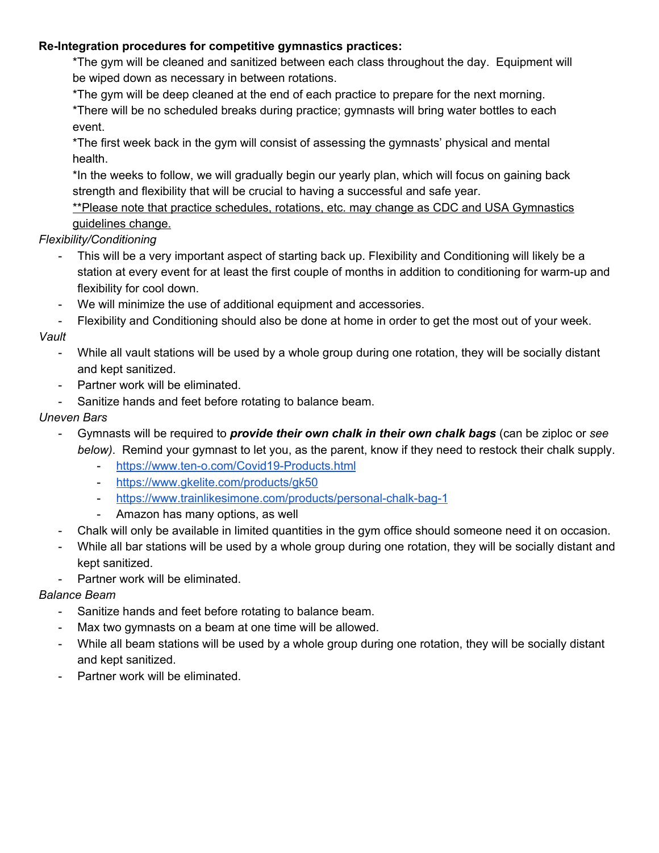#### **Re-Integration procedures for competitive gymnastics practices:**

\*The gym will be cleaned and sanitized between each class throughout the day. Equipment will be wiped down as necessary in between rotations.

\*The gym will be deep cleaned at the end of each practice to prepare for the next morning.

\*There will be no scheduled breaks during practice; gymnasts will bring water bottles to each event.

\*The first week back in the gym will consist of assessing the gymnasts' physical and mental health.

\*In the weeks to follow, we will gradually begin our yearly plan, which will focus on gaining back strength and flexibility that will be crucial to having a successful and safe year.

\*\*Please note that practice schedules, rotations, etc. may change as CDC and USA Gymnastics guidelines change.

## *Flexibility/Conditioning*

- This will be a very important aspect of starting back up. Flexibility and Conditioning will likely be a station at every event for at least the first couple of months in addition to conditioning for warm-up and flexibility for cool down.
- We will minimize the use of additional equipment and accessories.
- Flexibility and Conditioning should also be done at home in order to get the most out of your week.

## *Vault*

- While all vault stations will be used by a whole group during one rotation, they will be socially distant and kept sanitized.
- Partner work will be eliminated.
- Sanitize hands and feet before rotating to balance beam.

## *Uneven Bars*

- Gymnasts will be required to *provide their own chalk in their own chalk bags* (can be ziploc or *see below)*. Remind your gymnast to let you, as the parent, know if they need to restock their chalk supply.
	- <https://www.ten-o.com/Covid19-Products.html>
	- <https://www.gkelite.com/products/gk50>
	- <https://www.trainlikesimone.com/products/personal-chalk-bag-1>
	- Amazon has many options, as well
- Chalk will only be available in limited quantities in the gym office should someone need it on occasion.
- While all bar stations will be used by a whole group during one rotation, they will be socially distant and kept sanitized.
- Partner work will be eliminated.

## *Balance Beam*

- Sanitize hands and feet before rotating to balance beam.
- Max two gymnasts on a beam at one time will be allowed.
- While all beam stations will be used by a whole group during one rotation, they will be socially distant and kept sanitized.
- Partner work will be eliminated.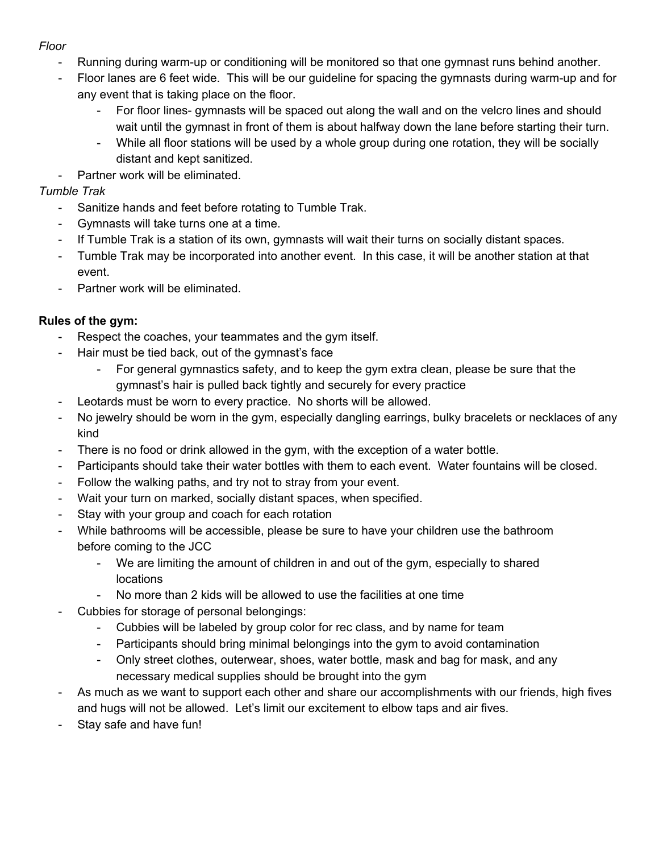#### *Floor*

- Running during warm-up or conditioning will be monitored so that one gymnast runs behind another.
- Floor lanes are 6 feet wide. This will be our guideline for spacing the gymnasts during warm-up and for any event that is taking place on the floor.
	- For floor lines- gymnasts will be spaced out along the wall and on the velcro lines and should wait until the gymnast in front of them is about halfway down the lane before starting their turn.
	- While all floor stations will be used by a whole group during one rotation, they will be socially distant and kept sanitized.
- Partner work will be eliminated.

## *Tumble Trak*

- Sanitize hands and feet before rotating to Tumble Trak.
- Gymnasts will take turns one at a time.
- If Tumble Trak is a station of its own, gymnasts will wait their turns on socially distant spaces.
- Tumble Trak may be incorporated into another event. In this case, it will be another station at that event.
- Partner work will be eliminated.

# **Rules of the gym:**

- Respect the coaches, your teammates and the gym itself.
- Hair must be tied back, out of the gymnast's face
	- For general gymnastics safety, and to keep the gym extra clean, please be sure that the gymnast's hair is pulled back tightly and securely for every practice
- Leotards must be worn to every practice. No shorts will be allowed.
- No jewelry should be worn in the gym, especially dangling earrings, bulky bracelets or necklaces of any kind
- There is no food or drink allowed in the gym, with the exception of a water bottle.
- Participants should take their water bottles with them to each event. Water fountains will be closed.
- Follow the walking paths, and try not to stray from your event.
- Wait your turn on marked, socially distant spaces, when specified.
- Stay with your group and coach for each rotation
- While bathrooms will be accessible, please be sure to have your children use the bathroom before coming to the JCC
	- We are limiting the amount of children in and out of the gym, especially to shared locations
	- No more than 2 kids will be allowed to use the facilities at one time
- Cubbies for storage of personal belongings:
	- Cubbies will be labeled by group color for rec class, and by name for team
	- Participants should bring minimal belongings into the gym to avoid contamination
	- Only street clothes, outerwear, shoes, water bottle, mask and bag for mask, and any necessary medical supplies should be brought into the gym
- As much as we want to support each other and share our accomplishments with our friends, high fives and hugs will not be allowed. Let's limit our excitement to elbow taps and air fives.
- Stay safe and have fun!